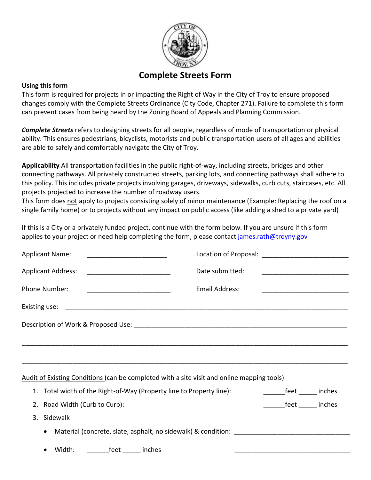

# **Complete Streets Form**

# **Using this form**

This form is required for projects in or impacting the Right of Way in the City of Troy to ensure proposed changes comply with the Complete Streets Ordinance (City Code, Chapter 271). Failure to complete this form can prevent cases from being heard by the Zoning Board of Appeals and Planning Commission.

*Complete Streets* refers to designing streets for all people, regardless of mode of transportation or physical ability. This ensures pedestrians, bicyclists, motorists and public transportation users of all ages and abilities are able to safely and comfortably navigate the City of Troy.

**Applicability** All transportation facilities in the public right-of-way, including streets, bridges and other connecting pathways. All privately constructed streets, parking lots, and connecting pathways shall adhere to this policy. This includes private projects involving garages, driveways, sidewalks, curb cuts, staircases, etc. All projects projected to increase the number of roadway users.

This form does not apply to projects consisting solely of minor maintenance (Example: Replacing the roof on a single family home) or to projects without any impact on public access (like adding a shed to a private yard)

If this is a City or a privately funded project, continue with the form below. If you are unsure if this form applies to your project or need help completing the form, please contact [james.rath@troyny.gov](mailto:james.rath@troyny.gov)

| <b>Applicant Name:</b>                                                                     |                       |                               |
|--------------------------------------------------------------------------------------------|-----------------------|-------------------------------|
| <b>Applicant Address:</b>                                                                  | Date submitted:       |                               |
| <b>Phone Number:</b>                                                                       | <b>Email Address:</b> |                               |
|                                                                                            |                       |                               |
|                                                                                            |                       |                               |
|                                                                                            |                       |                               |
|                                                                                            |                       |                               |
| Audit of Existing Conditions (can be completed with a site visit and online mapping tools) |                       |                               |
| Total width of the Right-of-Way (Property line to Property line):<br>1.                    |                       | __________feet _______ inches |
| 2. Road Width (Curb to Curb):                                                              |                       | feet inches                   |
| Sidewalk<br>3.                                                                             |                       |                               |
| $\bullet$                                                                                  |                       |                               |
| feet inches<br>Width:                                                                      |                       |                               |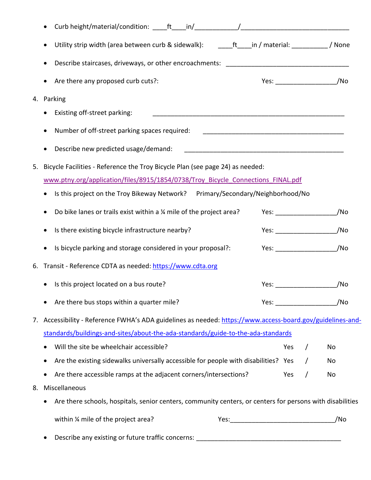| Curb height/material/condition: _ ft in/         | $\frac{1}{2}$ . The contract of the contract of the contract of the contract of the contract of the contract of the contract of the contract of the contract of the contract of the contract of the contract of the contract of t |                                                                                                                                                                                                                                                                                                                                                                                                                                                                                                                                                                                                                                                                                                                                                                                                                                                                                                                                                                                                |
|--------------------------------------------------|-----------------------------------------------------------------------------------------------------------------------------------------------------------------------------------------------------------------------------------|------------------------------------------------------------------------------------------------------------------------------------------------------------------------------------------------------------------------------------------------------------------------------------------------------------------------------------------------------------------------------------------------------------------------------------------------------------------------------------------------------------------------------------------------------------------------------------------------------------------------------------------------------------------------------------------------------------------------------------------------------------------------------------------------------------------------------------------------------------------------------------------------------------------------------------------------------------------------------------------------|
|                                                  |                                                                                                                                                                                                                                   |                                                                                                                                                                                                                                                                                                                                                                                                                                                                                                                                                                                                                                                                                                                                                                                                                                                                                                                                                                                                |
|                                                  |                                                                                                                                                                                                                                   |                                                                                                                                                                                                                                                                                                                                                                                                                                                                                                                                                                                                                                                                                                                                                                                                                                                                                                                                                                                                |
| Are there any proposed curb cuts?:               |                                                                                                                                                                                                                                   | Yes: _________________________/No                                                                                                                                                                                                                                                                                                                                                                                                                                                                                                                                                                                                                                                                                                                                                                                                                                                                                                                                                              |
|                                                  |                                                                                                                                                                                                                                   |                                                                                                                                                                                                                                                                                                                                                                                                                                                                                                                                                                                                                                                                                                                                                                                                                                                                                                                                                                                                |
| Existing off-street parking:                     |                                                                                                                                                                                                                                   |                                                                                                                                                                                                                                                                                                                                                                                                                                                                                                                                                                                                                                                                                                                                                                                                                                                                                                                                                                                                |
| Number of off-street parking spaces required:    |                                                                                                                                                                                                                                   |                                                                                                                                                                                                                                                                                                                                                                                                                                                                                                                                                                                                                                                                                                                                                                                                                                                                                                                                                                                                |
| Describe new predicted usage/demand:             |                                                                                                                                                                                                                                   |                                                                                                                                                                                                                                                                                                                                                                                                                                                                                                                                                                                                                                                                                                                                                                                                                                                                                                                                                                                                |
|                                                  |                                                                                                                                                                                                                                   |                                                                                                                                                                                                                                                                                                                                                                                                                                                                                                                                                                                                                                                                                                                                                                                                                                                                                                                                                                                                |
|                                                  |                                                                                                                                                                                                                                   |                                                                                                                                                                                                                                                                                                                                                                                                                                                                                                                                                                                                                                                                                                                                                                                                                                                                                                                                                                                                |
|                                                  |                                                                                                                                                                                                                                   |                                                                                                                                                                                                                                                                                                                                                                                                                                                                                                                                                                                                                                                                                                                                                                                                                                                                                                                                                                                                |
|                                                  |                                                                                                                                                                                                                                   | /No                                                                                                                                                                                                                                                                                                                                                                                                                                                                                                                                                                                                                                                                                                                                                                                                                                                                                                                                                                                            |
| Is there existing bicycle infrastructure nearby? |                                                                                                                                                                                                                                   | /No                                                                                                                                                                                                                                                                                                                                                                                                                                                                                                                                                                                                                                                                                                                                                                                                                                                                                                                                                                                            |
|                                                  |                                                                                                                                                                                                                                   | /No                                                                                                                                                                                                                                                                                                                                                                                                                                                                                                                                                                                                                                                                                                                                                                                                                                                                                                                                                                                            |
|                                                  |                                                                                                                                                                                                                                   |                                                                                                                                                                                                                                                                                                                                                                                                                                                                                                                                                                                                                                                                                                                                                                                                                                                                                                                                                                                                |
| Is this project located on a bus route?          |                                                                                                                                                                                                                                   | /No                                                                                                                                                                                                                                                                                                                                                                                                                                                                                                                                                                                                                                                                                                                                                                                                                                                                                                                                                                                            |
| Are there bus stops within a quarter mile?       |                                                                                                                                                                                                                                   | /No                                                                                                                                                                                                                                                                                                                                                                                                                                                                                                                                                                                                                                                                                                                                                                                                                                                                                                                                                                                            |
|                                                  |                                                                                                                                                                                                                                   |                                                                                                                                                                                                                                                                                                                                                                                                                                                                                                                                                                                                                                                                                                                                                                                                                                                                                                                                                                                                |
|                                                  |                                                                                                                                                                                                                                   |                                                                                                                                                                                                                                                                                                                                                                                                                                                                                                                                                                                                                                                                                                                                                                                                                                                                                                                                                                                                |
| Will the site be wheelchair accessible?          | Yes                                                                                                                                                                                                                               | No                                                                                                                                                                                                                                                                                                                                                                                                                                                                                                                                                                                                                                                                                                                                                                                                                                                                                                                                                                                             |
|                                                  |                                                                                                                                                                                                                                   | No                                                                                                                                                                                                                                                                                                                                                                                                                                                                                                                                                                                                                                                                                                                                                                                                                                                                                                                                                                                             |
|                                                  | Yes                                                                                                                                                                                                                               | $\prime$<br>No                                                                                                                                                                                                                                                                                                                                                                                                                                                                                                                                                                                                                                                                                                                                                                                                                                                                                                                                                                                 |
|                                                  |                                                                                                                                                                                                                                   |                                                                                                                                                                                                                                                                                                                                                                                                                                                                                                                                                                                                                                                                                                                                                                                                                                                                                                                                                                                                |
|                                                  |                                                                                                                                                                                                                                   |                                                                                                                                                                                                                                                                                                                                                                                                                                                                                                                                                                                                                                                                                                                                                                                                                                                                                                                                                                                                |
| within % mile of the project area?               |                                                                                                                                                                                                                                   | /No                                                                                                                                                                                                                                                                                                                                                                                                                                                                                                                                                                                                                                                                                                                                                                                                                                                                                                                                                                                            |
|                                                  |                                                                                                                                                                                                                                   |                                                                                                                                                                                                                                                                                                                                                                                                                                                                                                                                                                                                                                                                                                                                                                                                                                                                                                                                                                                                |
|                                                  | Parking<br>Transit - Reference CDTA as needed: https://www.cdta.org<br>Miscellaneous                                                                                                                                              | Utility strip width (area between curb & sidewalk): _______ft_____in / material: ___________ / None<br>Bicycle Facilities - Reference the Troy Bicycle Plan (see page 24) as needed:<br>www.ptny.org/application/files/8915/1854/0738/Troy Bicycle Connections FINAL.pdf<br>Is this project on the Troy Bikeway Network? Primary/Secondary/Neighborhood/No<br>Do bike lanes or trails exist within a % mile of the project area?<br>Yes: $\frac{1}{2}$<br>Is bicycle parking and storage considered in your proposal?:<br>Accessibility - Reference FWHA's ADA guidelines as needed: https://www.access-board.gov/guidelines-and-<br>standards/buildings-and-sites/about-the-ada-standards/guide-to-the-ada-standards<br>Are the existing sidewalks universally accessible for people with disabilities? Yes<br>Are there accessible ramps at the adjacent corners/intersections?<br>Are there schools, hospitals, senior centers, community centers, or centers for persons with disabilities |